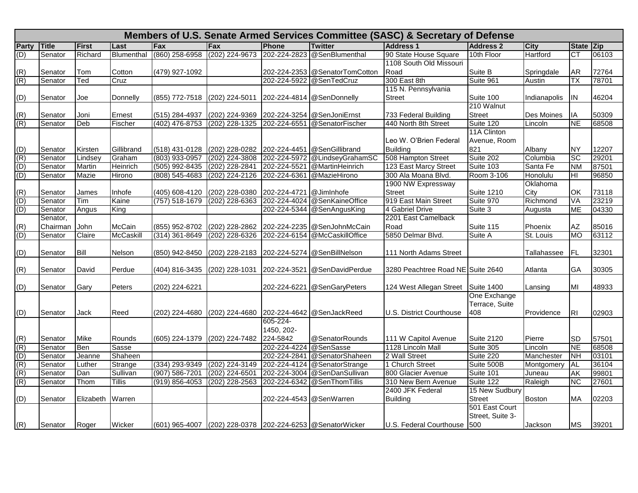|                | Members of U.S. Senate Armed Services Committee (SASC) & Secretary of Defense |              |                  |                    |                                           |                         |                                                            |                                   |                   |               |           |       |  |
|----------------|-------------------------------------------------------------------------------|--------------|------------------|--------------------|-------------------------------------------|-------------------------|------------------------------------------------------------|-----------------------------------|-------------------|---------------|-----------|-------|--|
| <b>Party</b>   | Title                                                                         | <b>First</b> | Last             | <b>IFax</b>        | Fax                                       | <b>Phone</b>            | <b>Twitter</b>                                             | <b>Address 1</b>                  | <b>Address 2</b>  | <b>City</b>   | State Zip |       |  |
| (D)            | Senator                                                                       | Richard      | Blumenthal       | (860) 258-6958     | (202) 224-9673                            | 202-224-2823            | @SenBlumenthal                                             | 90 State House Square             | 10th Floor        | Hartford      | СT        | 06103 |  |
|                |                                                                               |              |                  |                    |                                           |                         |                                                            | 1108 South Old Missouri           |                   |               |           |       |  |
| (R)            | Senator                                                                       | Tom          | Cotton           | (479) 927-1092     |                                           |                         | 202-224-2353 @SenatorTomCotton                             | Road                              | Suite B           | Springdale    | <b>AR</b> | 72764 |  |
| (R)            | Senator                                                                       | Ted          | Cruz             |                    |                                           | 202-224-5922            | @SenTedCruz                                                | 300 East 8th                      | Suite 961         | Austin        | ТX        | 78701 |  |
|                |                                                                               |              |                  |                    |                                           |                         |                                                            | 115 N. Pennsylvania               |                   |               |           |       |  |
| (D)            | Senator                                                                       | Joe          | Donnelly         | (855) 772-7518     | (202) 224-5011                            |                         | 202-224-4814 @SenDonnelly                                  | <b>Street</b>                     | Suite 100         | Indianapolis  | IN        | 46204 |  |
|                |                                                                               |              |                  |                    |                                           |                         |                                                            |                                   | 210 Walnut        |               |           |       |  |
| (R)            | Senator                                                                       | Joni         | Ernest           | (515) 284-4937     | (202) 224-9369 202-224-3254 @SenJoniErnst |                         |                                                            | 733 Federal Building              | <b>Street</b>     | Des Moines    | IA        | 50309 |  |
| (R)            | Senator                                                                       | Deb          | Fischer          | (402) 476-8753     | (202) 228-1325                            |                         | 202-224-6551 @SenatorFischer                               | 440 North 8th Street              | Suite 120         | Lincoln       | <b>NE</b> | 68508 |  |
|                |                                                                               |              |                  |                    |                                           |                         |                                                            |                                   | 11A Clinton       |               |           |       |  |
|                |                                                                               |              |                  |                    |                                           |                         |                                                            | Leo W. O'Brien Federal            | Avenue, Room      |               |           |       |  |
| (D)            | Senator                                                                       | Kirsten      | Gillibrand       | (518) 431-0128     | (202) 228-0282                            | 202-224-4451            | @SenGillibrand                                             | <b>Building</b>                   | 821               | Albany        | <b>NY</b> | 12207 |  |
| $\overline{R}$ | Senator                                                                       | Lindsey      | Graham           | (803) 933-0957     | (202) 224-3808                            | 202-224-5972            | @LindseyGrahamSC                                           | 508 Hampton Street                | Suite 202         | Columbia      | <b>SC</b> | 29201 |  |
| $\overline{0}$ | Senator                                                                       | Martin       | Heinrich         | $(505)$ 992-8435   | (202) 228-2841                            | 202-224-5521            | @MartinHeinrich                                            | 123 East Marcy Street             | Suite 103         | Santa Fe      | <b>NM</b> | 87501 |  |
| (D)            | Senator                                                                       | Mazie        | Hirono           | $(808) 545 - 4683$ | (202) 224-2126                            | 202-224-6361            | @MazieHirono                                               | 300 Ala Moana Blvd.               | Room 3-106        | Honolulu      | IНI       | 96850 |  |
|                |                                                                               |              |                  |                    |                                           |                         |                                                            | 1900 NW Expressway                |                   | Oklahoma      |           |       |  |
| (R)            | Senator                                                                       | James        | Inhofe           | (405) 608-4120     | (202) 228-0380                            | 202-224-4721 @JimInhofe |                                                            | <b>Street</b>                     | <b>Suite 1210</b> | City          | OK        | 73118 |  |
| (D)            | Senator                                                                       | Tim          | Kaine            | $(757) 518 - 1679$ | (202) 228-6363                            |                         | 202-224-4024 @SenKaineOffice                               | 919 East Main Street              | Suite 970         | Richmond      | VA        | 23219 |  |
| (D)            | Senator                                                                       | Angus        | King             |                    |                                           |                         | 202-224-5344 @SenAngusKing                                 | 4 Gabriel Drive                   | Suite 3           | Augusta       | MЕ        | 04330 |  |
|                | Senator,                                                                      |              |                  |                    |                                           |                         |                                                            | 2201 East Camelback               |                   |               |           |       |  |
| (R)            | Chairman                                                                      | John         | McCain           | (855) 952-8702     | (202) 228-2862                            |                         | 202-224-2235 @ SenJohnMcCain                               | Road                              | Suite 115         | Phoenix       | AZ        | 85016 |  |
| (D)            | Senator                                                                       | Claire       | <b>McCaskill</b> | $(314)$ 361-8649   | (202) 228-6326                            |                         | 202-224-6154 @McCaskillOffice                              | 5850 Delmar Blvd.                 | Suite A           | St. Louis     | <b>MO</b> | 63112 |  |
|                |                                                                               |              |                  |                    |                                           |                         |                                                            |                                   |                   |               |           |       |  |
| (D)            | Senator                                                                       | Bill         | Nelson           | (850) 942-8450     |                                           |                         | (202) 228-2183 202-224-5274 @SenBillNelson                 | 111 North Adams Street            |                   | Tallahassee   | FL        | 32301 |  |
|                |                                                                               |              |                  |                    |                                           |                         |                                                            |                                   |                   |               |           |       |  |
| (R)            | Senator                                                                       | David        | Perdue           | (404) 816-3435     | (202) 228-1031                            |                         | 202-224-3521 @SenDavidPerdue                               | 3280 Peachtree Road NE Suite 2640 |                   | Atlanta       | GA        | 30305 |  |
|                |                                                                               |              |                  |                    |                                           |                         |                                                            |                                   |                   |               |           |       |  |
| (D)            | Senator                                                                       | Gary         | Peters           | (202) 224-6221     |                                           |                         | 202-224-6221 @SenGaryPeters                                | 124 West Allegan Street           | Suite 1400        | Lansing       | ΜI        | 48933 |  |
|                |                                                                               |              |                  |                    |                                           |                         |                                                            |                                   | One Exchange      |               |           |       |  |
|                |                                                                               |              |                  |                    |                                           |                         |                                                            |                                   | Terrace, Suite    |               |           |       |  |
| (D)            | Senator                                                                       | Jack         | Reed             | (202) 224-4680     | (202) 224-4680                            | 202-224-4642            | @SenJackReed                                               | U.S. District Courthouse          | 408               | Providence    | IRI.      | 02903 |  |
|                |                                                                               |              |                  |                    |                                           | 605-224-                |                                                            |                                   |                   |               |           |       |  |
|                |                                                                               |              |                  |                    |                                           | 1450, 202-              |                                                            |                                   |                   |               |           |       |  |
| (R)            | Senator                                                                       | Mike         | Rounds           | (605) 224-1379     | (202) 224-7482                            | 224-5842                | @SenatorRounds                                             | 111 W Capitol Avenue              | <b>Suite 2120</b> | Pierre        | <b>SD</b> | 57501 |  |
| (R)            | Senator                                                                       | Ben          | Sasse            |                    |                                           | 202-224-4224            | @SenSasse                                                  | 1128 Lincoln Mall                 | Suite 305         | Lincoln       | <b>NE</b> | 68508 |  |
| (D)            | Senator                                                                       | Jeanne       | Shaheen          |                    |                                           |                         | 202-224-2841 @SenatorShaheen                               | 2 Wall Street                     | Suite 220         | Manchester    | <b>NH</b> | 03101 |  |
| (R)            | Senator                                                                       | Luther       | Strange          | (334) 293-9349     | (202) 224-3149                            | 202-224-4124            | @SenatorStrange                                            | 1 Church Street                   | Suite 500B        | Montgomery    | AL        | 36104 |  |
| (R)            | Senator                                                                       | Dan          | Sullivan         | $(907) 586 - 7201$ | $(202)$ 224-6501                          | 202-224-3004            | @SenDanSullivan                                            | 800 Glacier Avenue                | Suite 101         | Juneau        | <b>AK</b> | 99801 |  |
| (R)            | Senator                                                                       | Thom         | Tillis           | $(919) 856 - 4053$ | (202) 228-2563                            | 202-224-6342            | @SenThomTillis                                             | 310 New Bern Avenue               | Suite 122         | Raleigh       | <b>NC</b> | 27601 |  |
|                |                                                                               |              |                  |                    |                                           |                         |                                                            | 2400 JFK Federal                  | 15 New Sudbury    |               |           |       |  |
| (D)            | Senator                                                                       | Elizabeth    | Warren           |                    |                                           |                         | 202-224-4543 @SenWarren                                    | <b>Building</b>                   | <b>Street</b>     | <b>Boston</b> | <b>MA</b> | 02203 |  |
|                |                                                                               |              |                  |                    |                                           |                         |                                                            |                                   | 501 East Court    |               |           |       |  |
|                |                                                                               |              |                  |                    |                                           |                         |                                                            |                                   | Street, Suite 3-  |               |           |       |  |
| (R)            | Senator                                                                       | Roger        | Wicker           |                    |                                           |                         | (601) 965-4007 (202) 228-0378 202-224-6253 @ SenatorWicker | U.S. Federal Courthouse 500       |                   | Jackson       | МS        | 39201 |  |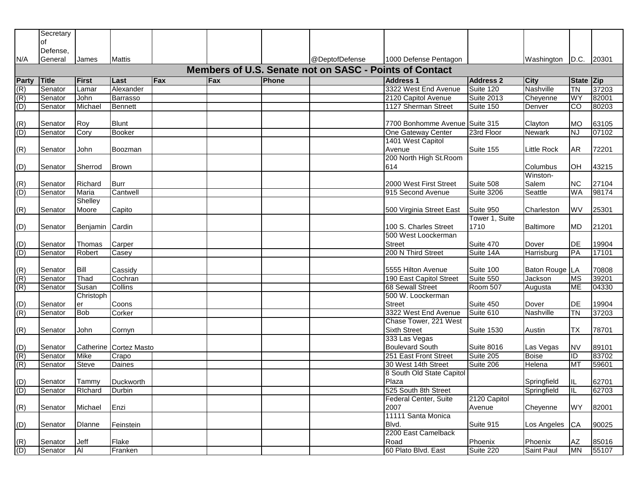| of<br>Defense,<br>@DeptofDefense<br>N/A<br>General<br>1000 Defense Pentagon<br>Washington D.C. 20301<br>James<br>Mattis<br>Members of U.S. Senate not on SASC - Points of Contact<br>Party<br>Fax<br><b>Title</b><br><b>First</b><br>Fax<br>Phone<br><b>Address 1</b><br><b>Address 2</b><br><b>City</b><br>State Zip<br>Last<br>37203<br>(R)<br>3322 West End Avenue<br>Suite 120<br>$\overline{T}N$<br>Senator<br>Alexander<br>Nashville<br>Lamar<br>(R)<br>2120 Capitol Avenue<br><b>Suite 2013</b><br>Senator<br>John<br>Cheyenne<br><b>WY</b><br>82001<br><b>Barrasso</b><br>(D)<br>1127 Sherman Street<br>80203<br>Suite 150<br>lCO.<br>Senator<br>Michael<br><b>Bennett</b><br>Denver<br>(R)<br>63105<br><b>Blunt</b><br>7700 Bonhomme Avenue Suite 315<br>Senator<br>Roy<br>Clayton<br><b>MO</b><br>(D)<br>07102<br>One Gateway Center<br>23rd Floor<br>Senator<br>Cory<br><b>Booker</b><br>Newark<br><b>NJ</b><br>1401 West Capitol<br>Avenue<br>Suite 155<br><b>Little Rock</b><br>(R)<br>John<br>72201<br>Senator<br>AR<br>Boozman<br>200 North High St. Room<br>614<br>(D)<br>Sherrod<br>Columbus<br>43215<br>Senator<br>IOH<br><b>Brown</b><br>Winston-<br>Richard<br>2000 West First Street<br>Suite 508<br>Salem<br>27104<br>(R)<br>Senator<br><b>NC</b><br>Burr<br>98174<br>(D)<br>915 Second Avenue<br><b>Suite 3206</b><br>Seattle<br>WA<br>Senator<br>Maria<br>Cantwell<br>Shelley<br>(R)<br>Capito<br>500 Virginia Street East<br>Suite 950<br><b>WV</b><br>25301<br>Moore<br>Charleston<br>Senator<br>Tower 1, Suite<br>Benjamin Cardin<br>(D)<br>100 S. Charles Street<br>1710<br>21201<br>Baltimore<br><b>MD</b><br>Senator<br>500 West Loockerman<br>19904<br>(D)<br><b>Street</b><br>Suite 470<br><b>DE</b><br>Senator<br>Thomas<br>Carper<br>Dover<br>(D)<br>200 N Third Street<br>17101<br>Senator<br>Robert<br>Suite 14A<br>Harrisburg<br>PA<br>Casey<br>Suite 100<br>Bill<br>5555 Hilton Avenue<br>Baton Rouge LA<br>70808<br>(R)<br>Senator<br>Cassidy<br>(R)<br>Senator<br>Suite 550<br>39201<br>Thad<br>Cochran<br>190 East Capitol Street<br>Jackson<br><b>MS</b><br>(R)<br><b>68 Sewall Street</b><br>Room 507<br>04330<br>Senator<br>Susan<br>Collins<br><b>ME</b><br>Augusta<br>500 W. Loockerman<br>Christoph<br><b>Street</b><br>Suite 450<br>19904<br>(D)<br>Senator<br>Dover<br>er<br>Coons<br>IDE<br>(R)<br><b>Bob</b><br>3322 West End Avenue<br>Suite 610<br>37203<br>Senator<br>Corker<br>Nashville<br><b>ITN</b><br>Chase Tower, 221 West<br>(R)<br><b>Sixth Street</b><br>78701<br>John<br><b>Suite 1530</b><br>Austin<br>TX<br>Senator<br>Cornyn<br>333 Las Vegas<br>Catherine Cortez Masto<br><b>Boulevard South</b><br><b>Suite 8016</b><br>Las Vegas<br><b>NV</b><br>89101<br>(D)<br>Senator<br>(R)<br>83702<br>251 East Front Street<br>Suite 205<br>$\overline{1}$<br>Senator<br>Mike<br><b>Boise</b><br>Crapo<br>(R)<br>59601<br>Senator<br>30 West 14th Street<br>Suite 206<br>MT<br><b>Steve</b><br>Daines<br>Helena<br>8 South Old State Capitol<br>(D)<br>Tammy<br>Duckworth<br>Plaza<br>62701<br>Senator<br>Springfield<br>IIL.<br>(D)<br>62703<br>Senator<br>Richard Durbin<br>525 South 8th Street<br>Springfield<br>$\mathbb{L}$<br>2120 Capitol<br>Federal Center, Suite<br>(R)<br><b>WY</b><br>82001<br>Michael<br>Enzi<br>2007<br>Cheyenne<br>Senator<br>Avenue<br>11111 Santa Monica<br>(D)<br>Blvd.<br>Suite 915<br>90025<br><b>Dlanne</b><br>Feinstein<br>Los Angeles<br><b>CA</b><br>Senator<br>2200 East Camelback<br>(R)<br>Phoenix<br>AZ<br>85016<br>Jeff<br>Flake<br>Road<br>Phoenix<br>Senator<br>Al<br>60 Plato Blvd. East<br>(D)<br>Suite 220<br>Saint Paul<br>55107<br>Senator<br>Franken<br><b>MN</b> | Secretary |  |  |  |  |  |  |
|------------------------------------------------------------------------------------------------------------------------------------------------------------------------------------------------------------------------------------------------------------------------------------------------------------------------------------------------------------------------------------------------------------------------------------------------------------------------------------------------------------------------------------------------------------------------------------------------------------------------------------------------------------------------------------------------------------------------------------------------------------------------------------------------------------------------------------------------------------------------------------------------------------------------------------------------------------------------------------------------------------------------------------------------------------------------------------------------------------------------------------------------------------------------------------------------------------------------------------------------------------------------------------------------------------------------------------------------------------------------------------------------------------------------------------------------------------------------------------------------------------------------------------------------------------------------------------------------------------------------------------------------------------------------------------------------------------------------------------------------------------------------------------------------------------------------------------------------------------------------------------------------------------------------------------------------------------------------------------------------------------------------------------------------------------------------------------------------------------------------------------------------------------------------------------------------------------------------------------------------------------------------------------------------------------------------------------------------------------------------------------------------------------------------------------------------------------------------------------------------------------------------------------------------------------------------------------------------------------------------------------------------------------------------------------------------------------------------------------------------------------------------------------------------------------------------------------------------------------------------------------------------------------------------------------------------------------------------------------------------------------------------------------------------------------------------------------------------------------------------------------------------------------------------------------------------------------------------------------------------------------------------------------------------------------------------------------------------------------------------------------------------------------------------------------------------------------------------------------------------------------------------------------------------------------------------------------------------------------------------------------------------------------------------------------|-----------|--|--|--|--|--|--|
|                                                                                                                                                                                                                                                                                                                                                                                                                                                                                                                                                                                                                                                                                                                                                                                                                                                                                                                                                                                                                                                                                                                                                                                                                                                                                                                                                                                                                                                                                                                                                                                                                                                                                                                                                                                                                                                                                                                                                                                                                                                                                                                                                                                                                                                                                                                                                                                                                                                                                                                                                                                                                                                                                                                                                                                                                                                                                                                                                                                                                                                                                                                                                                                                                                                                                                                                                                                                                                                                                                                                                                                                                                                                                    |           |  |  |  |  |  |  |
|                                                                                                                                                                                                                                                                                                                                                                                                                                                                                                                                                                                                                                                                                                                                                                                                                                                                                                                                                                                                                                                                                                                                                                                                                                                                                                                                                                                                                                                                                                                                                                                                                                                                                                                                                                                                                                                                                                                                                                                                                                                                                                                                                                                                                                                                                                                                                                                                                                                                                                                                                                                                                                                                                                                                                                                                                                                                                                                                                                                                                                                                                                                                                                                                                                                                                                                                                                                                                                                                                                                                                                                                                                                                                    |           |  |  |  |  |  |  |
|                                                                                                                                                                                                                                                                                                                                                                                                                                                                                                                                                                                                                                                                                                                                                                                                                                                                                                                                                                                                                                                                                                                                                                                                                                                                                                                                                                                                                                                                                                                                                                                                                                                                                                                                                                                                                                                                                                                                                                                                                                                                                                                                                                                                                                                                                                                                                                                                                                                                                                                                                                                                                                                                                                                                                                                                                                                                                                                                                                                                                                                                                                                                                                                                                                                                                                                                                                                                                                                                                                                                                                                                                                                                                    |           |  |  |  |  |  |  |
|                                                                                                                                                                                                                                                                                                                                                                                                                                                                                                                                                                                                                                                                                                                                                                                                                                                                                                                                                                                                                                                                                                                                                                                                                                                                                                                                                                                                                                                                                                                                                                                                                                                                                                                                                                                                                                                                                                                                                                                                                                                                                                                                                                                                                                                                                                                                                                                                                                                                                                                                                                                                                                                                                                                                                                                                                                                                                                                                                                                                                                                                                                                                                                                                                                                                                                                                                                                                                                                                                                                                                                                                                                                                                    |           |  |  |  |  |  |  |
|                                                                                                                                                                                                                                                                                                                                                                                                                                                                                                                                                                                                                                                                                                                                                                                                                                                                                                                                                                                                                                                                                                                                                                                                                                                                                                                                                                                                                                                                                                                                                                                                                                                                                                                                                                                                                                                                                                                                                                                                                                                                                                                                                                                                                                                                                                                                                                                                                                                                                                                                                                                                                                                                                                                                                                                                                                                                                                                                                                                                                                                                                                                                                                                                                                                                                                                                                                                                                                                                                                                                                                                                                                                                                    |           |  |  |  |  |  |  |
|                                                                                                                                                                                                                                                                                                                                                                                                                                                                                                                                                                                                                                                                                                                                                                                                                                                                                                                                                                                                                                                                                                                                                                                                                                                                                                                                                                                                                                                                                                                                                                                                                                                                                                                                                                                                                                                                                                                                                                                                                                                                                                                                                                                                                                                                                                                                                                                                                                                                                                                                                                                                                                                                                                                                                                                                                                                                                                                                                                                                                                                                                                                                                                                                                                                                                                                                                                                                                                                                                                                                                                                                                                                                                    |           |  |  |  |  |  |  |
|                                                                                                                                                                                                                                                                                                                                                                                                                                                                                                                                                                                                                                                                                                                                                                                                                                                                                                                                                                                                                                                                                                                                                                                                                                                                                                                                                                                                                                                                                                                                                                                                                                                                                                                                                                                                                                                                                                                                                                                                                                                                                                                                                                                                                                                                                                                                                                                                                                                                                                                                                                                                                                                                                                                                                                                                                                                                                                                                                                                                                                                                                                                                                                                                                                                                                                                                                                                                                                                                                                                                                                                                                                                                                    |           |  |  |  |  |  |  |
|                                                                                                                                                                                                                                                                                                                                                                                                                                                                                                                                                                                                                                                                                                                                                                                                                                                                                                                                                                                                                                                                                                                                                                                                                                                                                                                                                                                                                                                                                                                                                                                                                                                                                                                                                                                                                                                                                                                                                                                                                                                                                                                                                                                                                                                                                                                                                                                                                                                                                                                                                                                                                                                                                                                                                                                                                                                                                                                                                                                                                                                                                                                                                                                                                                                                                                                                                                                                                                                                                                                                                                                                                                                                                    |           |  |  |  |  |  |  |
|                                                                                                                                                                                                                                                                                                                                                                                                                                                                                                                                                                                                                                                                                                                                                                                                                                                                                                                                                                                                                                                                                                                                                                                                                                                                                                                                                                                                                                                                                                                                                                                                                                                                                                                                                                                                                                                                                                                                                                                                                                                                                                                                                                                                                                                                                                                                                                                                                                                                                                                                                                                                                                                                                                                                                                                                                                                                                                                                                                                                                                                                                                                                                                                                                                                                                                                                                                                                                                                                                                                                                                                                                                                                                    |           |  |  |  |  |  |  |
|                                                                                                                                                                                                                                                                                                                                                                                                                                                                                                                                                                                                                                                                                                                                                                                                                                                                                                                                                                                                                                                                                                                                                                                                                                                                                                                                                                                                                                                                                                                                                                                                                                                                                                                                                                                                                                                                                                                                                                                                                                                                                                                                                                                                                                                                                                                                                                                                                                                                                                                                                                                                                                                                                                                                                                                                                                                                                                                                                                                                                                                                                                                                                                                                                                                                                                                                                                                                                                                                                                                                                                                                                                                                                    |           |  |  |  |  |  |  |
|                                                                                                                                                                                                                                                                                                                                                                                                                                                                                                                                                                                                                                                                                                                                                                                                                                                                                                                                                                                                                                                                                                                                                                                                                                                                                                                                                                                                                                                                                                                                                                                                                                                                                                                                                                                                                                                                                                                                                                                                                                                                                                                                                                                                                                                                                                                                                                                                                                                                                                                                                                                                                                                                                                                                                                                                                                                                                                                                                                                                                                                                                                                                                                                                                                                                                                                                                                                                                                                                                                                                                                                                                                                                                    |           |  |  |  |  |  |  |
|                                                                                                                                                                                                                                                                                                                                                                                                                                                                                                                                                                                                                                                                                                                                                                                                                                                                                                                                                                                                                                                                                                                                                                                                                                                                                                                                                                                                                                                                                                                                                                                                                                                                                                                                                                                                                                                                                                                                                                                                                                                                                                                                                                                                                                                                                                                                                                                                                                                                                                                                                                                                                                                                                                                                                                                                                                                                                                                                                                                                                                                                                                                                                                                                                                                                                                                                                                                                                                                                                                                                                                                                                                                                                    |           |  |  |  |  |  |  |
|                                                                                                                                                                                                                                                                                                                                                                                                                                                                                                                                                                                                                                                                                                                                                                                                                                                                                                                                                                                                                                                                                                                                                                                                                                                                                                                                                                                                                                                                                                                                                                                                                                                                                                                                                                                                                                                                                                                                                                                                                                                                                                                                                                                                                                                                                                                                                                                                                                                                                                                                                                                                                                                                                                                                                                                                                                                                                                                                                                                                                                                                                                                                                                                                                                                                                                                                                                                                                                                                                                                                                                                                                                                                                    |           |  |  |  |  |  |  |
|                                                                                                                                                                                                                                                                                                                                                                                                                                                                                                                                                                                                                                                                                                                                                                                                                                                                                                                                                                                                                                                                                                                                                                                                                                                                                                                                                                                                                                                                                                                                                                                                                                                                                                                                                                                                                                                                                                                                                                                                                                                                                                                                                                                                                                                                                                                                                                                                                                                                                                                                                                                                                                                                                                                                                                                                                                                                                                                                                                                                                                                                                                                                                                                                                                                                                                                                                                                                                                                                                                                                                                                                                                                                                    |           |  |  |  |  |  |  |
|                                                                                                                                                                                                                                                                                                                                                                                                                                                                                                                                                                                                                                                                                                                                                                                                                                                                                                                                                                                                                                                                                                                                                                                                                                                                                                                                                                                                                                                                                                                                                                                                                                                                                                                                                                                                                                                                                                                                                                                                                                                                                                                                                                                                                                                                                                                                                                                                                                                                                                                                                                                                                                                                                                                                                                                                                                                                                                                                                                                                                                                                                                                                                                                                                                                                                                                                                                                                                                                                                                                                                                                                                                                                                    |           |  |  |  |  |  |  |
|                                                                                                                                                                                                                                                                                                                                                                                                                                                                                                                                                                                                                                                                                                                                                                                                                                                                                                                                                                                                                                                                                                                                                                                                                                                                                                                                                                                                                                                                                                                                                                                                                                                                                                                                                                                                                                                                                                                                                                                                                                                                                                                                                                                                                                                                                                                                                                                                                                                                                                                                                                                                                                                                                                                                                                                                                                                                                                                                                                                                                                                                                                                                                                                                                                                                                                                                                                                                                                                                                                                                                                                                                                                                                    |           |  |  |  |  |  |  |
|                                                                                                                                                                                                                                                                                                                                                                                                                                                                                                                                                                                                                                                                                                                                                                                                                                                                                                                                                                                                                                                                                                                                                                                                                                                                                                                                                                                                                                                                                                                                                                                                                                                                                                                                                                                                                                                                                                                                                                                                                                                                                                                                                                                                                                                                                                                                                                                                                                                                                                                                                                                                                                                                                                                                                                                                                                                                                                                                                                                                                                                                                                                                                                                                                                                                                                                                                                                                                                                                                                                                                                                                                                                                                    |           |  |  |  |  |  |  |
|                                                                                                                                                                                                                                                                                                                                                                                                                                                                                                                                                                                                                                                                                                                                                                                                                                                                                                                                                                                                                                                                                                                                                                                                                                                                                                                                                                                                                                                                                                                                                                                                                                                                                                                                                                                                                                                                                                                                                                                                                                                                                                                                                                                                                                                                                                                                                                                                                                                                                                                                                                                                                                                                                                                                                                                                                                                                                                                                                                                                                                                                                                                                                                                                                                                                                                                                                                                                                                                                                                                                                                                                                                                                                    |           |  |  |  |  |  |  |
|                                                                                                                                                                                                                                                                                                                                                                                                                                                                                                                                                                                                                                                                                                                                                                                                                                                                                                                                                                                                                                                                                                                                                                                                                                                                                                                                                                                                                                                                                                                                                                                                                                                                                                                                                                                                                                                                                                                                                                                                                                                                                                                                                                                                                                                                                                                                                                                                                                                                                                                                                                                                                                                                                                                                                                                                                                                                                                                                                                                                                                                                                                                                                                                                                                                                                                                                                                                                                                                                                                                                                                                                                                                                                    |           |  |  |  |  |  |  |
|                                                                                                                                                                                                                                                                                                                                                                                                                                                                                                                                                                                                                                                                                                                                                                                                                                                                                                                                                                                                                                                                                                                                                                                                                                                                                                                                                                                                                                                                                                                                                                                                                                                                                                                                                                                                                                                                                                                                                                                                                                                                                                                                                                                                                                                                                                                                                                                                                                                                                                                                                                                                                                                                                                                                                                                                                                                                                                                                                                                                                                                                                                                                                                                                                                                                                                                                                                                                                                                                                                                                                                                                                                                                                    |           |  |  |  |  |  |  |
|                                                                                                                                                                                                                                                                                                                                                                                                                                                                                                                                                                                                                                                                                                                                                                                                                                                                                                                                                                                                                                                                                                                                                                                                                                                                                                                                                                                                                                                                                                                                                                                                                                                                                                                                                                                                                                                                                                                                                                                                                                                                                                                                                                                                                                                                                                                                                                                                                                                                                                                                                                                                                                                                                                                                                                                                                                                                                                                                                                                                                                                                                                                                                                                                                                                                                                                                                                                                                                                                                                                                                                                                                                                                                    |           |  |  |  |  |  |  |
|                                                                                                                                                                                                                                                                                                                                                                                                                                                                                                                                                                                                                                                                                                                                                                                                                                                                                                                                                                                                                                                                                                                                                                                                                                                                                                                                                                                                                                                                                                                                                                                                                                                                                                                                                                                                                                                                                                                                                                                                                                                                                                                                                                                                                                                                                                                                                                                                                                                                                                                                                                                                                                                                                                                                                                                                                                                                                                                                                                                                                                                                                                                                                                                                                                                                                                                                                                                                                                                                                                                                                                                                                                                                                    |           |  |  |  |  |  |  |
|                                                                                                                                                                                                                                                                                                                                                                                                                                                                                                                                                                                                                                                                                                                                                                                                                                                                                                                                                                                                                                                                                                                                                                                                                                                                                                                                                                                                                                                                                                                                                                                                                                                                                                                                                                                                                                                                                                                                                                                                                                                                                                                                                                                                                                                                                                                                                                                                                                                                                                                                                                                                                                                                                                                                                                                                                                                                                                                                                                                                                                                                                                                                                                                                                                                                                                                                                                                                                                                                                                                                                                                                                                                                                    |           |  |  |  |  |  |  |
|                                                                                                                                                                                                                                                                                                                                                                                                                                                                                                                                                                                                                                                                                                                                                                                                                                                                                                                                                                                                                                                                                                                                                                                                                                                                                                                                                                                                                                                                                                                                                                                                                                                                                                                                                                                                                                                                                                                                                                                                                                                                                                                                                                                                                                                                                                                                                                                                                                                                                                                                                                                                                                                                                                                                                                                                                                                                                                                                                                                                                                                                                                                                                                                                                                                                                                                                                                                                                                                                                                                                                                                                                                                                                    |           |  |  |  |  |  |  |
|                                                                                                                                                                                                                                                                                                                                                                                                                                                                                                                                                                                                                                                                                                                                                                                                                                                                                                                                                                                                                                                                                                                                                                                                                                                                                                                                                                                                                                                                                                                                                                                                                                                                                                                                                                                                                                                                                                                                                                                                                                                                                                                                                                                                                                                                                                                                                                                                                                                                                                                                                                                                                                                                                                                                                                                                                                                                                                                                                                                                                                                                                                                                                                                                                                                                                                                                                                                                                                                                                                                                                                                                                                                                                    |           |  |  |  |  |  |  |
|                                                                                                                                                                                                                                                                                                                                                                                                                                                                                                                                                                                                                                                                                                                                                                                                                                                                                                                                                                                                                                                                                                                                                                                                                                                                                                                                                                                                                                                                                                                                                                                                                                                                                                                                                                                                                                                                                                                                                                                                                                                                                                                                                                                                                                                                                                                                                                                                                                                                                                                                                                                                                                                                                                                                                                                                                                                                                                                                                                                                                                                                                                                                                                                                                                                                                                                                                                                                                                                                                                                                                                                                                                                                                    |           |  |  |  |  |  |  |
|                                                                                                                                                                                                                                                                                                                                                                                                                                                                                                                                                                                                                                                                                                                                                                                                                                                                                                                                                                                                                                                                                                                                                                                                                                                                                                                                                                                                                                                                                                                                                                                                                                                                                                                                                                                                                                                                                                                                                                                                                                                                                                                                                                                                                                                                                                                                                                                                                                                                                                                                                                                                                                                                                                                                                                                                                                                                                                                                                                                                                                                                                                                                                                                                                                                                                                                                                                                                                                                                                                                                                                                                                                                                                    |           |  |  |  |  |  |  |
|                                                                                                                                                                                                                                                                                                                                                                                                                                                                                                                                                                                                                                                                                                                                                                                                                                                                                                                                                                                                                                                                                                                                                                                                                                                                                                                                                                                                                                                                                                                                                                                                                                                                                                                                                                                                                                                                                                                                                                                                                                                                                                                                                                                                                                                                                                                                                                                                                                                                                                                                                                                                                                                                                                                                                                                                                                                                                                                                                                                                                                                                                                                                                                                                                                                                                                                                                                                                                                                                                                                                                                                                                                                                                    |           |  |  |  |  |  |  |
|                                                                                                                                                                                                                                                                                                                                                                                                                                                                                                                                                                                                                                                                                                                                                                                                                                                                                                                                                                                                                                                                                                                                                                                                                                                                                                                                                                                                                                                                                                                                                                                                                                                                                                                                                                                                                                                                                                                                                                                                                                                                                                                                                                                                                                                                                                                                                                                                                                                                                                                                                                                                                                                                                                                                                                                                                                                                                                                                                                                                                                                                                                                                                                                                                                                                                                                                                                                                                                                                                                                                                                                                                                                                                    |           |  |  |  |  |  |  |
|                                                                                                                                                                                                                                                                                                                                                                                                                                                                                                                                                                                                                                                                                                                                                                                                                                                                                                                                                                                                                                                                                                                                                                                                                                                                                                                                                                                                                                                                                                                                                                                                                                                                                                                                                                                                                                                                                                                                                                                                                                                                                                                                                                                                                                                                                                                                                                                                                                                                                                                                                                                                                                                                                                                                                                                                                                                                                                                                                                                                                                                                                                                                                                                                                                                                                                                                                                                                                                                                                                                                                                                                                                                                                    |           |  |  |  |  |  |  |
|                                                                                                                                                                                                                                                                                                                                                                                                                                                                                                                                                                                                                                                                                                                                                                                                                                                                                                                                                                                                                                                                                                                                                                                                                                                                                                                                                                                                                                                                                                                                                                                                                                                                                                                                                                                                                                                                                                                                                                                                                                                                                                                                                                                                                                                                                                                                                                                                                                                                                                                                                                                                                                                                                                                                                                                                                                                                                                                                                                                                                                                                                                                                                                                                                                                                                                                                                                                                                                                                                                                                                                                                                                                                                    |           |  |  |  |  |  |  |
|                                                                                                                                                                                                                                                                                                                                                                                                                                                                                                                                                                                                                                                                                                                                                                                                                                                                                                                                                                                                                                                                                                                                                                                                                                                                                                                                                                                                                                                                                                                                                                                                                                                                                                                                                                                                                                                                                                                                                                                                                                                                                                                                                                                                                                                                                                                                                                                                                                                                                                                                                                                                                                                                                                                                                                                                                                                                                                                                                                                                                                                                                                                                                                                                                                                                                                                                                                                                                                                                                                                                                                                                                                                                                    |           |  |  |  |  |  |  |
|                                                                                                                                                                                                                                                                                                                                                                                                                                                                                                                                                                                                                                                                                                                                                                                                                                                                                                                                                                                                                                                                                                                                                                                                                                                                                                                                                                                                                                                                                                                                                                                                                                                                                                                                                                                                                                                                                                                                                                                                                                                                                                                                                                                                                                                                                                                                                                                                                                                                                                                                                                                                                                                                                                                                                                                                                                                                                                                                                                                                                                                                                                                                                                                                                                                                                                                                                                                                                                                                                                                                                                                                                                                                                    |           |  |  |  |  |  |  |
|                                                                                                                                                                                                                                                                                                                                                                                                                                                                                                                                                                                                                                                                                                                                                                                                                                                                                                                                                                                                                                                                                                                                                                                                                                                                                                                                                                                                                                                                                                                                                                                                                                                                                                                                                                                                                                                                                                                                                                                                                                                                                                                                                                                                                                                                                                                                                                                                                                                                                                                                                                                                                                                                                                                                                                                                                                                                                                                                                                                                                                                                                                                                                                                                                                                                                                                                                                                                                                                                                                                                                                                                                                                                                    |           |  |  |  |  |  |  |
|                                                                                                                                                                                                                                                                                                                                                                                                                                                                                                                                                                                                                                                                                                                                                                                                                                                                                                                                                                                                                                                                                                                                                                                                                                                                                                                                                                                                                                                                                                                                                                                                                                                                                                                                                                                                                                                                                                                                                                                                                                                                                                                                                                                                                                                                                                                                                                                                                                                                                                                                                                                                                                                                                                                                                                                                                                                                                                                                                                                                                                                                                                                                                                                                                                                                                                                                                                                                                                                                                                                                                                                                                                                                                    |           |  |  |  |  |  |  |
|                                                                                                                                                                                                                                                                                                                                                                                                                                                                                                                                                                                                                                                                                                                                                                                                                                                                                                                                                                                                                                                                                                                                                                                                                                                                                                                                                                                                                                                                                                                                                                                                                                                                                                                                                                                                                                                                                                                                                                                                                                                                                                                                                                                                                                                                                                                                                                                                                                                                                                                                                                                                                                                                                                                                                                                                                                                                                                                                                                                                                                                                                                                                                                                                                                                                                                                                                                                                                                                                                                                                                                                                                                                                                    |           |  |  |  |  |  |  |
|                                                                                                                                                                                                                                                                                                                                                                                                                                                                                                                                                                                                                                                                                                                                                                                                                                                                                                                                                                                                                                                                                                                                                                                                                                                                                                                                                                                                                                                                                                                                                                                                                                                                                                                                                                                                                                                                                                                                                                                                                                                                                                                                                                                                                                                                                                                                                                                                                                                                                                                                                                                                                                                                                                                                                                                                                                                                                                                                                                                                                                                                                                                                                                                                                                                                                                                                                                                                                                                                                                                                                                                                                                                                                    |           |  |  |  |  |  |  |
|                                                                                                                                                                                                                                                                                                                                                                                                                                                                                                                                                                                                                                                                                                                                                                                                                                                                                                                                                                                                                                                                                                                                                                                                                                                                                                                                                                                                                                                                                                                                                                                                                                                                                                                                                                                                                                                                                                                                                                                                                                                                                                                                                                                                                                                                                                                                                                                                                                                                                                                                                                                                                                                                                                                                                                                                                                                                                                                                                                                                                                                                                                                                                                                                                                                                                                                                                                                                                                                                                                                                                                                                                                                                                    |           |  |  |  |  |  |  |
|                                                                                                                                                                                                                                                                                                                                                                                                                                                                                                                                                                                                                                                                                                                                                                                                                                                                                                                                                                                                                                                                                                                                                                                                                                                                                                                                                                                                                                                                                                                                                                                                                                                                                                                                                                                                                                                                                                                                                                                                                                                                                                                                                                                                                                                                                                                                                                                                                                                                                                                                                                                                                                                                                                                                                                                                                                                                                                                                                                                                                                                                                                                                                                                                                                                                                                                                                                                                                                                                                                                                                                                                                                                                                    |           |  |  |  |  |  |  |
|                                                                                                                                                                                                                                                                                                                                                                                                                                                                                                                                                                                                                                                                                                                                                                                                                                                                                                                                                                                                                                                                                                                                                                                                                                                                                                                                                                                                                                                                                                                                                                                                                                                                                                                                                                                                                                                                                                                                                                                                                                                                                                                                                                                                                                                                                                                                                                                                                                                                                                                                                                                                                                                                                                                                                                                                                                                                                                                                                                                                                                                                                                                                                                                                                                                                                                                                                                                                                                                                                                                                                                                                                                                                                    |           |  |  |  |  |  |  |
|                                                                                                                                                                                                                                                                                                                                                                                                                                                                                                                                                                                                                                                                                                                                                                                                                                                                                                                                                                                                                                                                                                                                                                                                                                                                                                                                                                                                                                                                                                                                                                                                                                                                                                                                                                                                                                                                                                                                                                                                                                                                                                                                                                                                                                                                                                                                                                                                                                                                                                                                                                                                                                                                                                                                                                                                                                                                                                                                                                                                                                                                                                                                                                                                                                                                                                                                                                                                                                                                                                                                                                                                                                                                                    |           |  |  |  |  |  |  |
|                                                                                                                                                                                                                                                                                                                                                                                                                                                                                                                                                                                                                                                                                                                                                                                                                                                                                                                                                                                                                                                                                                                                                                                                                                                                                                                                                                                                                                                                                                                                                                                                                                                                                                                                                                                                                                                                                                                                                                                                                                                                                                                                                                                                                                                                                                                                                                                                                                                                                                                                                                                                                                                                                                                                                                                                                                                                                                                                                                                                                                                                                                                                                                                                                                                                                                                                                                                                                                                                                                                                                                                                                                                                                    |           |  |  |  |  |  |  |
|                                                                                                                                                                                                                                                                                                                                                                                                                                                                                                                                                                                                                                                                                                                                                                                                                                                                                                                                                                                                                                                                                                                                                                                                                                                                                                                                                                                                                                                                                                                                                                                                                                                                                                                                                                                                                                                                                                                                                                                                                                                                                                                                                                                                                                                                                                                                                                                                                                                                                                                                                                                                                                                                                                                                                                                                                                                                                                                                                                                                                                                                                                                                                                                                                                                                                                                                                                                                                                                                                                                                                                                                                                                                                    |           |  |  |  |  |  |  |
|                                                                                                                                                                                                                                                                                                                                                                                                                                                                                                                                                                                                                                                                                                                                                                                                                                                                                                                                                                                                                                                                                                                                                                                                                                                                                                                                                                                                                                                                                                                                                                                                                                                                                                                                                                                                                                                                                                                                                                                                                                                                                                                                                                                                                                                                                                                                                                                                                                                                                                                                                                                                                                                                                                                                                                                                                                                                                                                                                                                                                                                                                                                                                                                                                                                                                                                                                                                                                                                                                                                                                                                                                                                                                    |           |  |  |  |  |  |  |
|                                                                                                                                                                                                                                                                                                                                                                                                                                                                                                                                                                                                                                                                                                                                                                                                                                                                                                                                                                                                                                                                                                                                                                                                                                                                                                                                                                                                                                                                                                                                                                                                                                                                                                                                                                                                                                                                                                                                                                                                                                                                                                                                                                                                                                                                                                                                                                                                                                                                                                                                                                                                                                                                                                                                                                                                                                                                                                                                                                                                                                                                                                                                                                                                                                                                                                                                                                                                                                                                                                                                                                                                                                                                                    |           |  |  |  |  |  |  |
|                                                                                                                                                                                                                                                                                                                                                                                                                                                                                                                                                                                                                                                                                                                                                                                                                                                                                                                                                                                                                                                                                                                                                                                                                                                                                                                                                                                                                                                                                                                                                                                                                                                                                                                                                                                                                                                                                                                                                                                                                                                                                                                                                                                                                                                                                                                                                                                                                                                                                                                                                                                                                                                                                                                                                                                                                                                                                                                                                                                                                                                                                                                                                                                                                                                                                                                                                                                                                                                                                                                                                                                                                                                                                    |           |  |  |  |  |  |  |
|                                                                                                                                                                                                                                                                                                                                                                                                                                                                                                                                                                                                                                                                                                                                                                                                                                                                                                                                                                                                                                                                                                                                                                                                                                                                                                                                                                                                                                                                                                                                                                                                                                                                                                                                                                                                                                                                                                                                                                                                                                                                                                                                                                                                                                                                                                                                                                                                                                                                                                                                                                                                                                                                                                                                                                                                                                                                                                                                                                                                                                                                                                                                                                                                                                                                                                                                                                                                                                                                                                                                                                                                                                                                                    |           |  |  |  |  |  |  |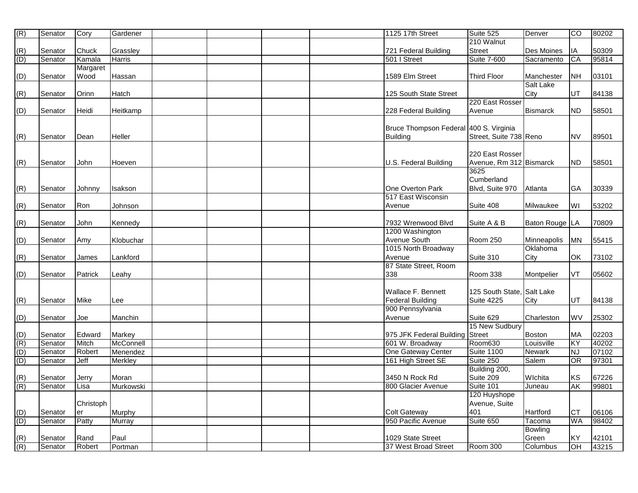| (R)                                                                            | Senator | Cory      | Gardener       |  |  | 1125 17th Street                       | Suite 525                  | Denver           | $\overline{c}$ | 80202 |
|--------------------------------------------------------------------------------|---------|-----------|----------------|--|--|----------------------------------------|----------------------------|------------------|----------------|-------|
|                                                                                |         |           |                |  |  |                                        | 210 Walnut                 |                  |                |       |
|                                                                                | Senator | Chuck     | Grassley       |  |  | 721 Federal Building                   | <b>Street</b>              | Des Moines       | IA             | 50309 |
| $\frac{(R)}{(D)}$                                                              | Senator | Kamala    | Harris         |  |  | 501   Street                           | <b>Suite 7-600</b>         | Sacramento       | CA             | 95814 |
|                                                                                |         | Margaret  |                |  |  |                                        |                            |                  |                |       |
| (D)                                                                            | Senator | Wood      | Hassan         |  |  | 1589 Elm Street                        | <b>Third Floor</b>         | Manchester       | <b>NH</b>      | 03101 |
|                                                                                |         |           |                |  |  |                                        |                            | <b>Salt Lake</b> |                |       |
| (R)                                                                            | Senator | Orinn     | Hatch          |  |  | 125 South State Street                 |                            | City             | <b>UT</b>      | 84138 |
|                                                                                |         |           |                |  |  |                                        | 220 East Rosser            |                  |                |       |
| (D)                                                                            | Senator | Heidi     | Heitkamp       |  |  | 228 Federal Building                   | Avenue                     | <b>Bismarck</b>  | <b>ND</b>      | 58501 |
|                                                                                |         |           |                |  |  |                                        |                            |                  |                |       |
|                                                                                |         |           |                |  |  | Bruce Thompson Federal 400 S. Virginia |                            |                  |                |       |
| (R)                                                                            | Senator | Dean      | Heller         |  |  | <b>Building</b>                        | Street, Suite 738 Reno     |                  | <b>NV</b>      | 89501 |
|                                                                                |         |           |                |  |  |                                        |                            |                  |                |       |
|                                                                                |         |           |                |  |  |                                        | 220 East Rosser            |                  |                |       |
| (R)                                                                            | Senator | John      | Hoeven         |  |  | U.S. Federal Building                  | Avenue, Rm 312 Bismarck    |                  | <b>ND</b>      | 58501 |
|                                                                                |         |           |                |  |  |                                        | 3625                       |                  |                |       |
|                                                                                |         |           |                |  |  |                                        | Cumberland                 |                  |                |       |
| (R)                                                                            | Senator | Johnny    | Isakson        |  |  | One Overton Park                       | Blvd, Suite 970            | Atlanta          | GA             | 30339 |
|                                                                                |         |           |                |  |  | 517 East Wisconsin                     |                            |                  |                |       |
| (R)                                                                            | Senator | Ron       | Johnson        |  |  | Avenue                                 | Suite 408                  | Milwaukee        | WI             | 53202 |
|                                                                                |         |           |                |  |  |                                        |                            |                  |                |       |
| (R)                                                                            | Senator | John      | Kennedy        |  |  | 7932 Wrenwood Blvd                     | Suite A & B                | Baton Rouge   LA |                | 70809 |
|                                                                                |         |           |                |  |  | 1200 Washington                        |                            |                  |                |       |
| (D)                                                                            | Senator | Amy       | Klobuchar      |  |  | Avenue South                           | <b>Room 250</b>            | Minneapolis      | <b>MN</b>      | 55415 |
|                                                                                |         |           |                |  |  | 1015 North Broadway                    |                            | Oklahoma         |                |       |
| (R)                                                                            | Senator | James     | Lankford       |  |  | Avenue                                 | Suite 310                  | City             | OK             | 73102 |
|                                                                                |         |           |                |  |  | 87 State Street, Room                  |                            |                  |                |       |
| (D)                                                                            | Senator | Patrick   | Leahy          |  |  | 338                                    | Room 338                   | Montpelier       | VT             | 05602 |
|                                                                                |         |           |                |  |  |                                        |                            |                  |                |       |
|                                                                                |         |           |                |  |  | Wallace F. Bennett                     | 125 South State, Salt Lake |                  |                |       |
| (R)                                                                            | Senator | Mike      | Lee            |  |  | <b>Federal Building</b>                | <b>Suite 4225</b>          | City             | UT             | 84138 |
|                                                                                |         |           |                |  |  | 900 Pennsylvania                       |                            |                  |                |       |
| (D)                                                                            | Senator | Joe       | Manchin        |  |  | Avenue                                 | Suite 629                  | Charleston       | WV             | 25302 |
|                                                                                |         |           |                |  |  |                                        | 15 New Sudbury             |                  |                |       |
| $\begin{array}{c} \n\overline{D} \\ \overline{D} \\ \overline{D}\n\end{array}$ | Senator | Edward    | Markey         |  |  | 975 JFK Federal Building               | Street                     | <b>Boston</b>    | MA             | 02203 |
|                                                                                | Senator | Mitch     | McConnell      |  |  | 601 W. Broadway                        | Room630                    | Louisville       | KY             | 40202 |
|                                                                                | Senator | Robert    | Menendez       |  |  | One Gateway Center                     | <b>Suite 1100</b>          | Newark           | <b>NJ</b>      | 07102 |
|                                                                                | Senator | Jeff      | <b>Merkley</b> |  |  | 161 High Street SE                     | Suite 250                  | Salem            | OR             | 97301 |
|                                                                                |         |           |                |  |  |                                        | Building 200,              |                  |                |       |
| $\frac{(R)}{(R)}$                                                              | Senator | Jerry     | Moran          |  |  | 3450 N Rock Rd                         | Suite 209                  | Wlchita          | KS             | 67226 |
|                                                                                | Senator | Lisa      | Murkowski      |  |  | 800 Glacier Avenue                     | Suite 101                  | Juneau           | AK             | 99801 |
|                                                                                |         |           |                |  |  |                                        | 120 Huyshope               |                  |                |       |
|                                                                                |         | Christoph |                |  |  |                                        | Avenue, Suite              |                  |                |       |
| $\frac{(D)}{(D)}$                                                              | Senator | er        | Murphy         |  |  | <b>Colt Gateway</b>                    | 401                        | Hartford         | <b>CT</b>      | 06106 |
|                                                                                | Senator | Patty     | Murray         |  |  | 950 Pacific Avenue                     | Suite 650                  | Tacoma           | <b>WA</b>      | 98402 |
|                                                                                |         |           |                |  |  |                                        |                            | <b>Bowling</b>   |                |       |
| $\frac{(R)}{(R)}$                                                              | Senator | Rand      | Paul           |  |  | 1029 State Street                      |                            | Green            | KY             | 42101 |
|                                                                                | Senator | Robert    | <b>Portman</b> |  |  | 37 West Broad Street                   | <b>Room 300</b>            | Columbus         | <b>OH</b>      | 43215 |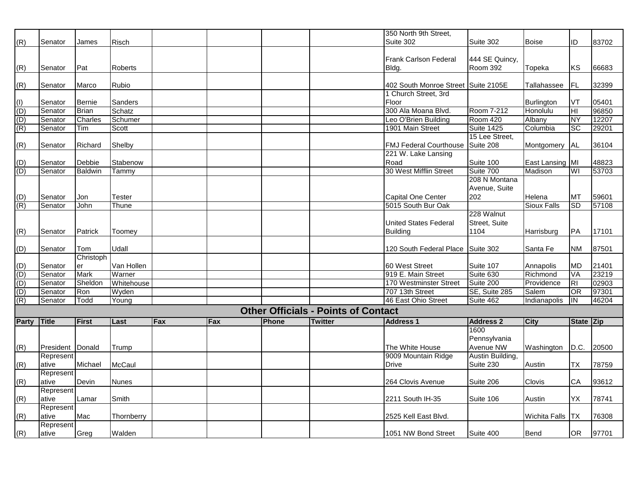|                                                                                                                 |                  |                |              |     |     |              |                                            | 350 North 9th Street,         |                   |                    |                |       |
|-----------------------------------------------------------------------------------------------------------------|------------------|----------------|--------------|-----|-----|--------------|--------------------------------------------|-------------------------------|-------------------|--------------------|----------------|-------|
| (R)                                                                                                             | Senator          | James          | <b>Risch</b> |     |     |              |                                            | Suite 302                     | Suite 302         | <b>Boise</b>       | ID             | 83702 |
|                                                                                                                 |                  |                |              |     |     |              |                                            |                               |                   |                    |                |       |
|                                                                                                                 |                  |                |              |     |     |              |                                            | <b>Frank Carlson Federal</b>  | 444 SE Quincy,    |                    |                |       |
| (R)                                                                                                             | Senator          | Pat            | Roberts      |     |     |              |                                            | Bldg.                         | <b>Room 392</b>   | Topeka             | <b>KS</b>      | 66683 |
|                                                                                                                 |                  |                |              |     |     |              |                                            |                               |                   |                    |                |       |
| (R)                                                                                                             | Senator          | Marco          | Rubio        |     |     |              |                                            | 402 South Monroe Street       | Suite 2105E       | Tallahassee        | FL             | 32399 |
|                                                                                                                 |                  |                |              |     |     |              |                                            | 1 Church Street, 3rd          |                   |                    |                |       |
|                                                                                                                 | Senator          | <b>Bernie</b>  | Sanders      |     |     |              |                                            | Floor                         |                   | Burlington         | VT             | 05401 |
|                                                                                                                 | Senator          | <b>Brian</b>   | Schatz       |     |     |              |                                            | 300 Ala Moana Blvd.           | Room 7-212        | Honolulu           | HI             | 96850 |
|                                                                                                                 | Senator          | Charles        | Schumer      |     |     |              |                                            | Leo O'Brien Building          | Room 420          | Albany             | NY             | 12207 |
| $\frac{1}{2}$ $\frac{1}{2}$ $\frac{1}{2}$ $\frac{1}{2}$ $\frac{1}{2}$ $\frac{1}{2}$ $\frac{1}{2}$ $\frac{1}{2}$ | Senator          | Tim            | Scott        |     |     |              |                                            | 1901 Main Street              | <b>Suite 1425</b> | Columbia           | <b>SC</b>      | 29201 |
|                                                                                                                 |                  |                |              |     |     |              |                                            |                               | 15 Lee Street,    |                    |                |       |
| (R)                                                                                                             | Senator          | Richard        | Shelby       |     |     |              |                                            | <b>FMJ Federal Courthouse</b> | Suite 208         | Montgomery         | <b>AL</b>      | 36104 |
|                                                                                                                 |                  |                |              |     |     |              |                                            | 221 W. Lake Lansing           |                   |                    |                |       |
|                                                                                                                 | Senator          | Debbie         | Stabenow     |     |     |              |                                            | Road                          | Suite 100         | East Lansing MI    |                | 48823 |
| $\frac{(D)}{(D)}$                                                                                               | Senator          | <b>Baldwin</b> | Tammy        |     |     |              |                                            | 30 West Mifflin Street        | Suite 700         | Madison            | WI             | 53703 |
|                                                                                                                 |                  |                |              |     |     |              |                                            |                               | 208 N Montana     |                    |                |       |
|                                                                                                                 |                  |                |              |     |     |              |                                            |                               | Avenue, Suite     |                    |                |       |
|                                                                                                                 | Senator          | Jon            | Tester       |     |     |              |                                            | Capital One Center            | 202               | Helena             | MT             | 59601 |
| $\frac{(D)}{(R)}$                                                                                               | Senator          | John           | Thune        |     |     |              |                                            | 5015 South Bur Oak            |                   | <b>Sioux Falls</b> | <b>SD</b>      | 57108 |
|                                                                                                                 |                  |                |              |     |     |              |                                            |                               | 228 Walnut        |                    |                |       |
|                                                                                                                 |                  |                |              |     |     |              |                                            | <b>United States Federal</b>  | Street, Suite     |                    |                |       |
| (R)                                                                                                             | Senator          | Patrick        | Toomey       |     |     |              |                                            | <b>Building</b>               | 1104              | Harrisburg         | PA             | 17101 |
|                                                                                                                 |                  |                |              |     |     |              |                                            |                               |                   |                    |                |       |
| (D)                                                                                                             | Senator          | Tom            | Udall        |     |     |              |                                            | 120 South Federal Place       | Suite 302         | Santa Fe           | <b>NM</b>      | 87501 |
|                                                                                                                 |                  | Christoph      |              |     |     |              |                                            |                               |                   |                    |                |       |
|                                                                                                                 | Senator          | er             | Van Hollen   |     |     |              |                                            | 60 West Street                | Suite 107         | Annapolis          | MD             | 21401 |
|                                                                                                                 | Senator          | <b>Mark</b>    | Warner       |     |     |              |                                            | 919 E. Main Street            | Suite 630         | Richmond           | VA             | 23219 |
|                                                                                                                 | Senator          | Sheldon        | Whitehouse   |     |     |              |                                            | 170 Westminster Street        | Suite 200         | Providence         | R <sub>1</sub> | 02903 |
|                                                                                                                 | Senator          | Ron            | Wyden        |     |     |              |                                            | 707 13th Street               | SE, Suite 285     | Salem              | OR             | 97301 |
|                                                                                                                 | Senator          | Todd           | Young        |     |     |              |                                            | 46 East Ohio Street           | Suite 462         | Indianapolis       | <b>IIN</b>     | 46204 |
|                                                                                                                 |                  |                |              |     |     |              | <b>Other Officials - Points of Contact</b> |                               |                   |                    |                |       |
| <b>Party</b>                                                                                                    | <b>Title</b>     | <b>First</b>   | Last         | Fax | Fax | <b>Phone</b> | <b>Twitter</b>                             | <b>Address 1</b>              | <b>Address 2</b>  | <b>City</b>        | State Zip      |       |
|                                                                                                                 |                  |                |              |     |     |              |                                            |                               | 1600              |                    |                |       |
|                                                                                                                 |                  |                |              |     |     |              |                                            |                               | Pennsylvania      |                    |                |       |
| (R)                                                                                                             | President Donald |                | Trump        |     |     |              |                                            | The White House               | Avenue NW         | Washington         | D.C.           | 20500 |
|                                                                                                                 | Represent        |                |              |     |     |              |                                            | 9009 Mountain Ridge           | Austin Building,  |                    |                |       |
| (R)                                                                                                             | ative            | Michael        | McCaul       |     |     |              |                                            | Drive                         | Suite 230         | Austin             | ТX             | 78759 |
|                                                                                                                 | Represent        |                |              |     |     |              |                                            |                               |                   |                    |                |       |
| (R)                                                                                                             | ative            | Devin          | <b>Nunes</b> |     |     |              |                                            | 264 Clovis Avenue             | Suite 206         | Clovis             | CA             | 93612 |
|                                                                                                                 | Represent        |                |              |     |     |              |                                            |                               |                   |                    |                |       |
| (R)                                                                                                             | ative            | Lamar          | Smith        |     |     |              |                                            | 2211 South IH-35              | Suite 106         | Austin             | YΧ             | 78741 |
|                                                                                                                 | Represent        |                |              |     |     |              |                                            |                               |                   |                    |                |       |
| (R)                                                                                                             | ative            | Mac            | Thornberry   |     |     |              |                                            | 2525 Kell East Blvd.          |                   | Wichita Falls      | ТX             | 76308 |
|                                                                                                                 | Represent        |                |              |     |     |              |                                            |                               |                   |                    |                |       |
| (R)                                                                                                             | ative            | Greg           | Walden       |     |     |              |                                            | 1051 NW Bond Street           | Suite 400         | <b>Bend</b>        | <b>OR</b>      | 97701 |
|                                                                                                                 |                  |                |              |     |     |              |                                            |                               |                   |                    |                |       |